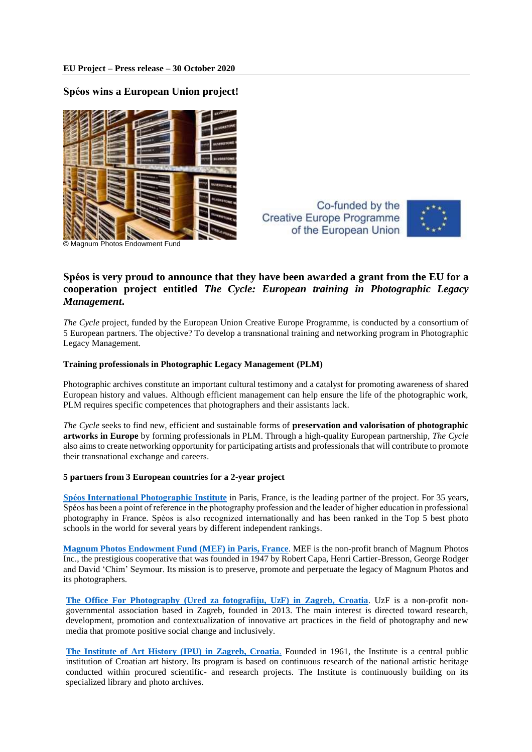## **Spéos wins a European Union project!**



Co-funded by the **Creative Europe Programme** of the European Union



## **Spéos is very proud to announce that they have been awarded a grant from the EU for a cooperation project entitled** *The Cycle: European training in Photographic Legacy Management***.**

*The Cycle* project, funded by the European Union Creative Europe Programme, is conducted by a consortium of 5 European partners. The objective? To develop a transnational training and networking program in Photographic Legacy Management.

## **Training professionals in Photographic Legacy Management (PLM)**

Photographic archives constitute an important cultural testimony and a catalyst for promoting awareness of shared European history and values. Although efficient management can help ensure the life of the photographic work, PLM requires specific competences that photographers and their assistants lack.

*The Cycle* seeks to find new, efficient and sustainable forms of **preservation and valorisation of photographic artworks in Europe** by forming professionals in PLM. Through a high-quality European partnership, *The Cycle* also aims to create networking opportunity for participating artists and professionals that will contribute to promote their transnational exchange and careers.

## **5 partners from 3 European countries for a 2-year project**

**[Spéos International Photographic Institute](http://www.speos-photo.com/en/)** in Paris, France, is the leading partner of the project. For 35 years, Spéos has been a point of reference in the photography profession and the leader of higher education in professional photography in France. Spéos is also recognized internationally and has been ranked in the Top 5 best photo schools in the world for several years by different independent rankings.

**[Magnum Photos Endowment Fund](https://www.magnumphotos.com/) (MEF) in Paris, France**. MEF is the non-profit branch of Magnum Photos Inc., the prestigious cooperative that was founded in 1947 by Robert Capa, Henri Cartier-Bresson, George Rodger and David 'Chim' Seymour. Its mission is to preserve, promote and perpetuate the legacy of Magnum Photos and its photographers.

**[The Office For Photography \(Ured za fotografiju, UzF\) in Zagreb, Croatia](https://croatian-photography.com/en)**. UzF is a non-profit nongovernmental association based in Zagreb, founded in 2013. The main interest is directed toward research, development, promotion and contextualization of innovative art practices in the field of photography and new media that promote positive social change and inclusively.

**[The Institute of Art History \(IPU\) in Zagreb, Croatia](https://www.ipu.hr/index.php?lang=en)**. Founded in 1961, the Institute is a central public institution of Croatian art history. Its program is based on continuous research of the national artistic heritage conducted within procured scientific- and research projects. The Institute is continuously building on its specialized library and photo archives.